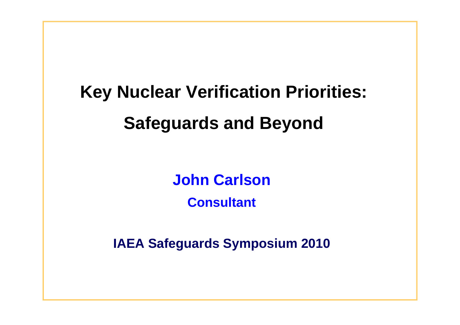# **Key Nuclear Verification Priorities: Safeguards and Beyond**

**John Carlson**

**Consultant** 

**IAEA Safeguards Symposium 2010**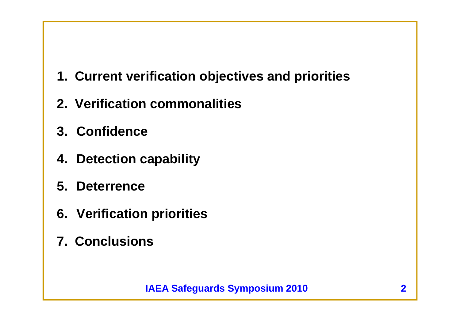- **1. Current verification objectives and priorities**
- **2. Verification commonalities**
- **3. Confidence**
- **4. Detection capability**
- **5. Deterrence**
- **6. Verification priorities**
- **7. Conclusions**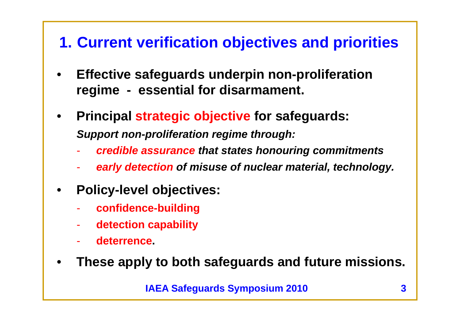## **1. Current verification objectives and priorities**

- • **Effective safeguards underpin non-proliferation regime - essential for disarmament.**
- $\bullet$  **Principal strategic objective for safeguards:** *Support non-proliferation regime through:*
	- *credible assurance that states honouring commitments*
	- *early detection of misuse of nuclear material, technology.*
- • **Policy-level objectives:**
	- **confidence-building**
	- **detection capability**
	- **deterrence.**
- •**These apply to both safeguards and future missions.**

**IAEA Safeguards Symposium 2010**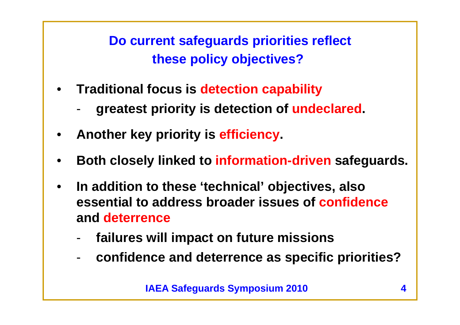**Do current safeguards priorities reflect these policy objectives?**

- **Traditional focus is detection capability**
	- **greatest priority is detection of undeclared.**
- •**Another key priority is efficiency.**
- •**Both closely linked to information-driven safeguards.**
- • **In addition to these 'technical' objectives, also essential to address broader issues of confidenceand deterrence**
	- **failures will impact on future missions**
	- **confidence and deterrence as specific priorities?**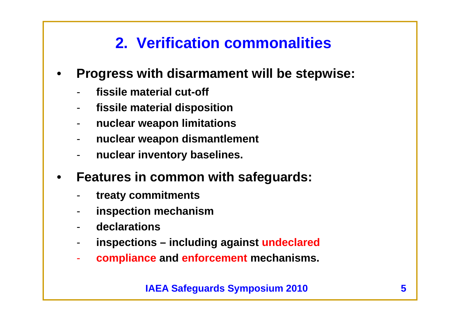## **2. Verification commonalities**

- • **Progress with disarmament will be stepwise:**
	- **fissile material cut-off**
	- **fissile material disposition**
	- **nuclear weapon limitations**
	- **nuclear weapon dismantlement**
	- **nuclear inventory baselines.**
- $\bullet$  **Features in common with safeguards:**
	- **treaty commitments**
	- **inspection mechanism**
	- **declarations**
	- **inspections – including against undeclared**
	- **compliance and enforcement mechanisms.**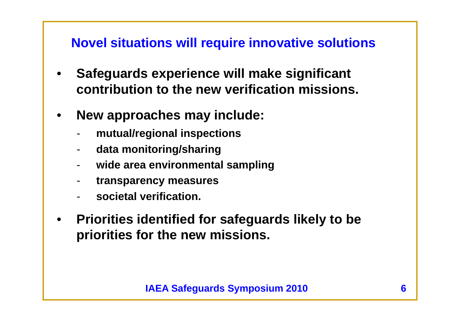#### **Novel situations will require innovative solutions**

- • **Safeguards experience will make significant contribution to the new verification missions.**
- • **New approaches may include:**
	- **mutual/regional inspections**
	- **data monitoring/sharing**
	- **wide area environmental sampling**
	- **transparency measures**
	- **societal verification.**
- $\bullet$  **Priorities identified for safeguards likely to be priorities for the new missions.**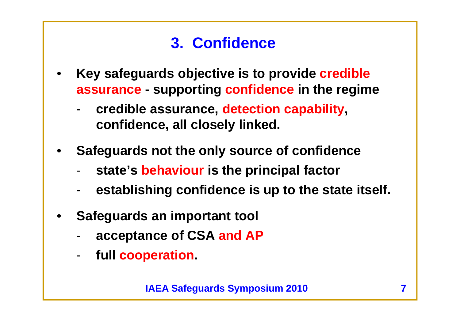## **3. Confidence**

- • **Key safeguards objective is to provide credible assurance - supporting confidence in the regime**
	- **credible assurance, detection capability, confidence, all closely linked.**
- • **Safeguards not the only source of confidence**
	- **state's behaviour is the principal factor**
	- **establishing confidence is up to the state itself.**
- • **Safeguards an important tool**
	- **acceptance of CSA and AP**
	- **full cooperation.**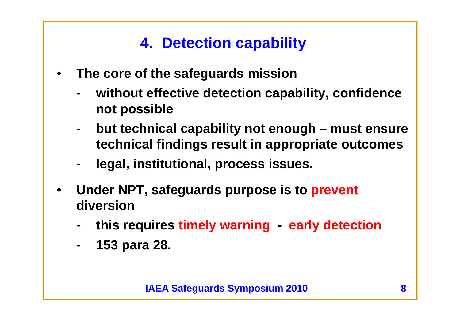## **4. Detection capability**

- • **The core of the safeguards mission**
	- **without effective detection capability, confidence not possible**
	- **but technical capability not enough – must ensure technical findings result in appropriate outcomes**
	- **legal, institutional, process issues.**
- • **Under NPT, safeguards purpose is to prevent diversion**
	- **this requires timely warning early detection**
	- -**153 para 28.**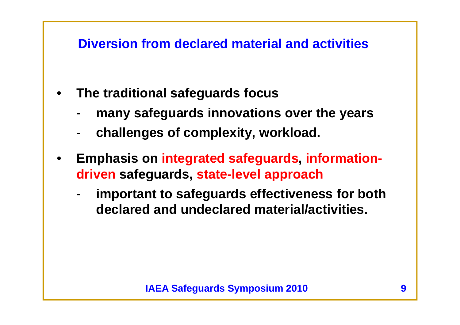#### **Diversion from declared material and activities**

- • **The traditional safeguards focus**
	- **many safeguards innovations over the years**
	- **challenges of complexity, workload.**
- • **Emphasis on integrated safeguards, informationdriven safeguards, state-level approach** 
	- **important to safeguards effectiveness for both declared and undeclared material/activities.**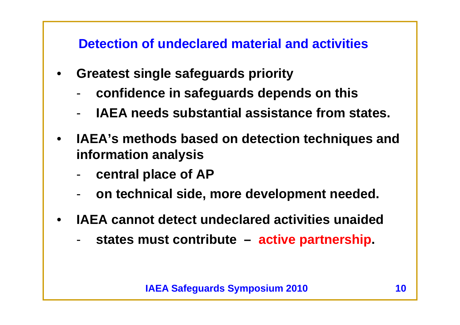**Detection of undeclared material and activities**

- • **Greatest single safeguards priority**
	- **confidence in safeguards depends on this**
	- -**IAEA needs substantial assistance from states.**
- • **IAEA's methods based on detection techniques and information analysis**
	- **central place of AP**
	- **on technical side, more development needed.**
- $\bullet$  **IAEA cannot detect undeclared activities unaided**
	- **states must contribute – active partnership.**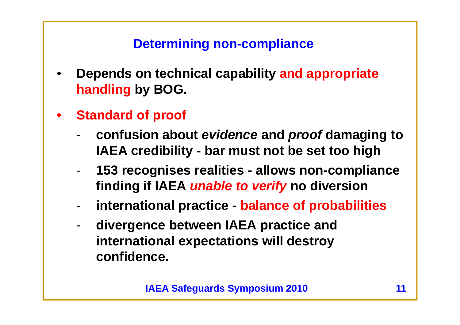### **Determining non-compliance**

- • **Depends on technical capability and appropriate handling by BOG.**
- $\bullet$  **Standard of proof**
	- **confusion about** *evidence* **and** *proof* **damaging to IAEA credibility - bar must not be set too high**
	- - **153 recognises realities - allows non-compliance finding if IAEA** *unable to verify* **no diversion**
	- **international practice - balance of probabilities**
	- **divergence between IAEA practice and international expectations will destroy confidence.**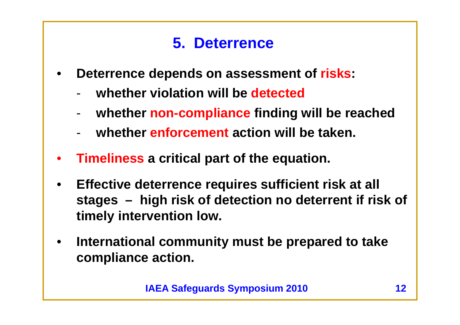## **5. Deterrence**

- • **Deterrence depends on assessment of risks:**
	- **whether violation will be detected**
	- **whether non-compliance finding will be reached**
	- **whether enforcement action will be taken.**
- •**Timeliness a critical part of the equation.**
- • **Effective deterrence requires sufficient risk at all stages – high risk of detection no deterrent if risk of timely intervention low.**
- $\bullet$  **International community must be prepared to take compliance action.**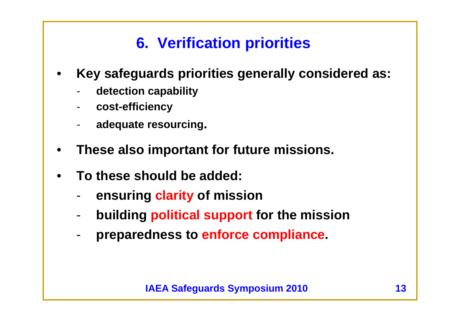# **6. Verification priorities**

- • **Key safeguards priorities generally considered as:**
	- **detection capability**
	- **cost-efficiency**
	- **adequate resourcing.**
- •**These also important for future missions.**
- • **To these should be added:**
	- **ensuring clarity of mission**
	- **building political support for the mission**
	- **preparedness to enforce compliance.**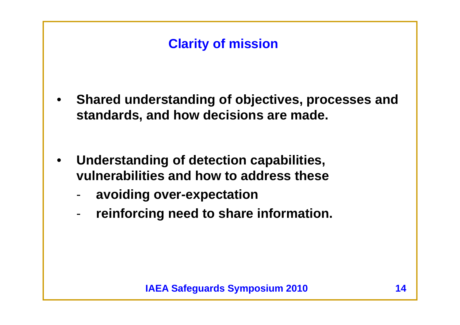## **Clarity of mission**

- • **Shared understanding of objectives, processes and standards, and how decisions are made.**
- $\bullet$  **Understanding of detection capabilities, vulnerabilities and how to address these**
	- **avoiding over-expectation**
	- **reinforcing need to share information.**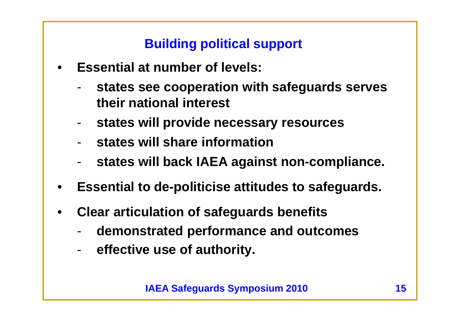**Building political support**

- • **Essential at number of levels:**
	- **states see cooperation with safeguards serves their national interest**
	- **states will provide necessary resources**
	- **states will share information**
	- **states will back IAEA against non-compliance.**
- •**Essential to de-politicise attitudes to safeguards.**
- • **Clear articulation of safeguards benefits**
	- **demonstrated performance and outcomes**
	- **effective use of authority.**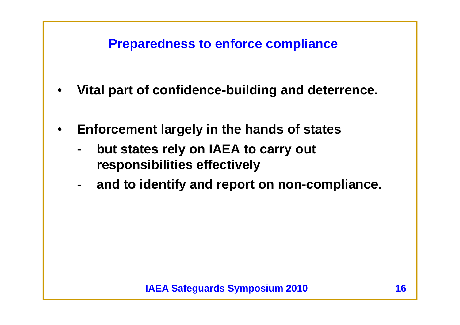#### **Preparedness to enforce compliance**

- •**Vital part of confidence-building and deterrence.**
- • **Enforcement largely in the hands of states**
	- **but states rely on IAEA to carry out responsibilities effectively**
	- **and to identify and report on non-compliance.**